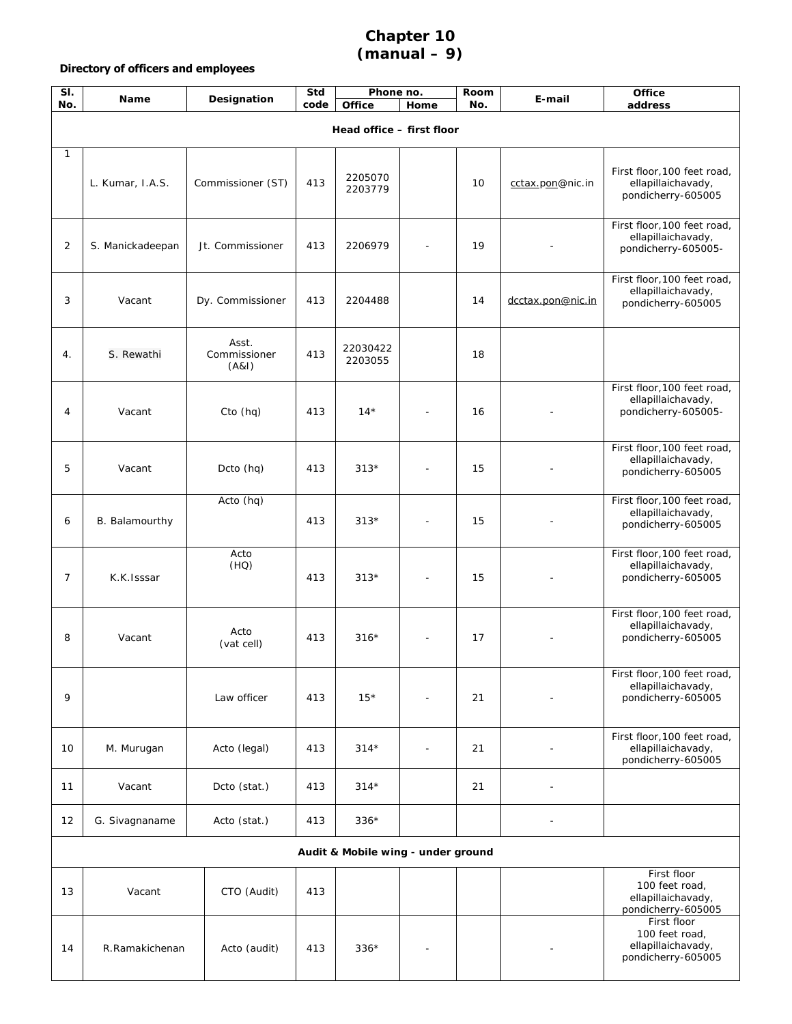## **Chapter 10 (manual – 9)**

## **Directory of officers and employees**

| SI.<br>No.                         | <b>Name</b>      | Designation                    | Std<br>code | Phone no.<br>Office | Home | Room<br>No. | E-mail                   | Office<br>address                                                         |  |
|------------------------------------|------------------|--------------------------------|-------------|---------------------|------|-------------|--------------------------|---------------------------------------------------------------------------|--|
| Head office - first floor          |                  |                                |             |                     |      |             |                          |                                                                           |  |
| 1                                  | L. Kumar, I.A.S. | Commissioner (ST)              | 413         | 2205070<br>2203779  |      | 10          | cctax.pon@nic.in         | First floor, 100 feet road,<br>ellapillaichavady,<br>pondicherry-605005   |  |
| 2                                  | S. Manickadeepan | Jt. Commissioner               | 413         | 2206979             |      | 19          |                          | First floor, 100 feet road,<br>ellapillaichavady,<br>pondicherry-605005-  |  |
| 3                                  | Vacant           | Dy. Commissioner               | 413         | 2204488             |      | 14          | dcctax.pon@nic.in        | First floor, 100 feet road,<br>ellapillaichavady,<br>pondicherry-605005   |  |
| 4.                                 | S. Rewathi       | Asst.<br>Commissioner<br>(A&I) | 413         | 22030422<br>2203055 |      | 18          |                          |                                                                           |  |
| 4                                  | Vacant           | Cto (hq)                       | 413         | $14*$               |      | 16          |                          | First floor, 100 feet road,<br>ellapillaichavady,<br>pondicherry-605005-  |  |
| 5                                  | Vacant           | Dcto (hq)                      | 413         | $313*$              |      | 15          |                          | First floor, 100 feet road,<br>ellapillaichavady,<br>pondicherry-605005   |  |
| 6                                  | B. Balamourthy   | Acto (hq)                      | 413         | $313*$              |      | 15          |                          | First floor, 100 feet road,<br>ellapillaichavady,<br>pondicherry-605005   |  |
| 7                                  | K.K.Isssar       | Acto<br>(HQ)                   | 413         | $313*$              |      | 15          |                          | First floor, 100 feet road,<br>ellapillaichavady,<br>pondicherry-605005   |  |
| 8                                  | Vacant           | Acto<br>(vat cell)             | 413         | $316*$              |      | 17          |                          | First floor, 100 feet road,<br>ellapillaichavady,<br>pondicherry-605005   |  |
| 9                                  |                  | Law officer                    | 413         | $15*$               |      | 21          |                          | First floor, 100 feet road,<br>ellapillaichavady,<br>pondicherry-605005   |  |
| 10                                 | M. Murugan       | Acto (legal)                   | 413         | $314*$              | ÷    | 21          | $\overline{\phantom{a}}$ | First floor, 100 feet road,<br>ellapillaichavady,<br>pondicherry-605005   |  |
| 11                                 | Vacant           | Dcto (stat.)                   | 413         | $314*$              |      | 21          |                          |                                                                           |  |
| 12                                 | G. Sivagnaname   | Acto (stat.)                   | 413         | $336*$              |      |             |                          |                                                                           |  |
| Audit & Mobile wing - under ground |                  |                                |             |                     |      |             |                          |                                                                           |  |
| 13                                 | Vacant           | CTO (Audit)                    | 413         |                     |      |             |                          | First floor<br>100 feet road,<br>ellapillaichavady,<br>pondicherry-605005 |  |
| 14                                 | R.Ramakichenan   | Acto (audit)                   | 413         | $336*$              |      |             |                          | First floor<br>100 feet road,<br>ellapillaichavady,<br>pondicherry-605005 |  |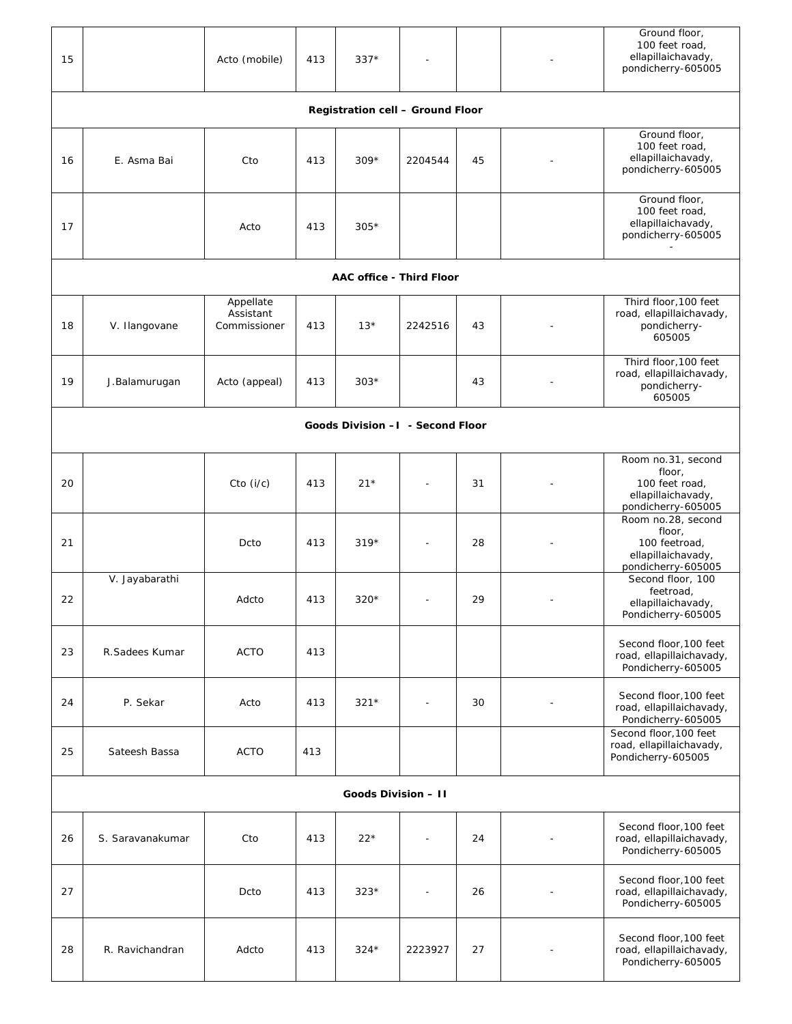| 15                               |                                  | Acto (mobile)                          | 413 | $337*$ |         |    |  | Ground floor,<br>100 feet road,<br>ellapillaichavady,<br>pondicherry-605005                |  |
|----------------------------------|----------------------------------|----------------------------------------|-----|--------|---------|----|--|--------------------------------------------------------------------------------------------|--|
| Registration cell - Ground Floor |                                  |                                        |     |        |         |    |  |                                                                                            |  |
| 16                               | E. Asma Bai                      | Cto                                    | 413 | $309*$ | 2204544 | 45 |  | Ground floor,<br>100 feet road,<br>ellapillaichavady,<br>pondicherry-605005                |  |
| 17                               |                                  | Acto                                   | 413 | $305*$ |         |    |  | Ground floor,<br>100 feet road,<br>ellapillaichavady,<br>pondicherry-605005                |  |
| AAC office - Third Floor         |                                  |                                        |     |        |         |    |  |                                                                                            |  |
| 18                               | V. Ilangovane                    | Appellate<br>Assistant<br>Commissioner | 413 | $13*$  | 2242516 | 43 |  | Third floor, 100 feet<br>road, ellapillaichavady,<br>pondicherry-<br>605005                |  |
| 19                               | J.Balamurugan                    | Acto (appeal)                          | 413 | $303*$ |         | 43 |  | Third floor, 100 feet<br>road, ellapillaichavady,<br>pondicherry-<br>605005                |  |
|                                  | Goods Division -I - Second Floor |                                        |     |        |         |    |  |                                                                                            |  |
| 20                               |                                  | Cto (i/c)                              | 413 | $21*$  |         | 31 |  | Room no.31, second<br>floor,<br>100 feet road,<br>ellapillaichavady,<br>pondicherry-605005 |  |
| 21                               |                                  | Dcto                                   | 413 | $319*$ |         | 28 |  | Room no.28, second<br>floor,<br>100 feetroad,<br>ellapillaichavady,<br>pondicherry-605005  |  |
| 22                               | V. Jayabarathi                   | Adcto                                  | 413 | $320*$ |         | 29 |  | Second floor, 100<br>feetroad,<br>ellapillaichavady,<br>Pondicherry-605005                 |  |
| 23                               | R.Sadees Kumar                   | <b>ACTO</b>                            | 413 |        |         |    |  | Second floor, 100 feet<br>road, ellapillaichavady,<br>Pondicherry-605005                   |  |
| 24                               | P. Sekar                         | Acto                                   | 413 | $321*$ |         | 30 |  | Second floor, 100 feet<br>road, ellapillaichavady,<br>Pondicherry-605005                   |  |
| 25                               | Sateesh Bassa                    | <b>ACTO</b>                            | 413 |        |         |    |  | Second floor, 100 feet<br>road, ellapillaichavady,<br>Pondicherry-605005                   |  |
| Goods Division - II              |                                  |                                        |     |        |         |    |  |                                                                                            |  |
| 26                               | S. Saravanakumar                 | Cto                                    | 413 | $22*$  |         | 24 |  | Second floor, 100 feet<br>road, ellapillaichavady,<br>Pondicherry-605005                   |  |
| 27                               |                                  | Dcto                                   | 413 | $323*$ |         | 26 |  | Second floor, 100 feet<br>road, ellapillaichavady,<br>Pondicherry-605005                   |  |
| 28                               | R. Ravichandran                  | Adcto                                  | 413 | $324*$ | 2223927 | 27 |  | Second floor, 100 feet<br>road, ellapillaichavady,<br>Pondicherry-605005                   |  |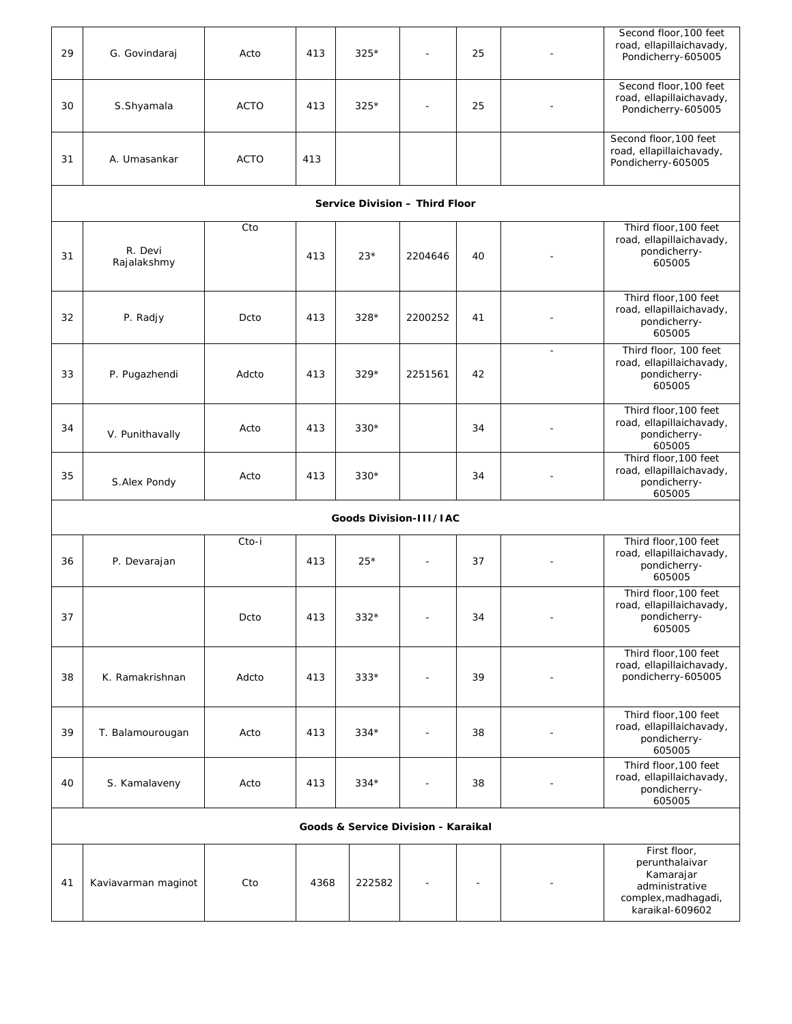| 29 | G. Govindaraj                       | Acto        | 413  | $325*$ | $\overline{\phantom{a}}$ | 25 |              | Second floor, 100 feet<br>road, ellapillaichavady,<br>Pondicherry-605005                                |  |  |  |
|----|-------------------------------------|-------------|------|--------|--------------------------|----|--------------|---------------------------------------------------------------------------------------------------------|--|--|--|
| 30 | S.Shyamala                          | <b>ACTO</b> | 413  | $325*$ |                          | 25 |              | Second floor, 100 feet<br>road, ellapillaichavady,<br>Pondicherry-605005                                |  |  |  |
| 31 | A. Umasankar                        | <b>ACTO</b> | 413  |        |                          |    |              | Second floor, 100 feet<br>road, ellapillaichavady,<br>Pondicherry-605005                                |  |  |  |
|    | Service Division - Third Floor      |             |      |        |                          |    |              |                                                                                                         |  |  |  |
| 31 | R. Devi<br>Rajalakshmy              | Cto         | 413  | $23*$  | 2204646                  | 40 |              | Third floor, 100 feet<br>road, ellapillaichavady,<br>pondicherry-<br>605005                             |  |  |  |
| 32 | P. Radjy                            | Dcto        | 413  | $328*$ | 2200252                  | 41 |              | Third floor, 100 feet<br>road, ellapillaichavady,<br>pondicherry-<br>605005                             |  |  |  |
| 33 | P. Pugazhendi                       | Adcto       | 413  | $329*$ | 2251561                  | 42 | $\mathbf{r}$ | Third floor, 100 feet<br>road, ellapillaichavady,<br>pondicherry-<br>605005                             |  |  |  |
| 34 | V. Punithavally                     | Acto        | 413  | $330*$ |                          | 34 |              | Third floor, 100 feet<br>road, ellapillaichavady,<br>pondicherry-<br>605005                             |  |  |  |
| 35 | S.Alex Pondy                        | Acto        | 413  | $330*$ |                          | 34 |              | Third floor, 100 feet<br>road, ellapillaichavady,<br>pondicherry-<br>605005                             |  |  |  |
|    |                                     |             |      |        | Goods Division-III/IAC   |    |              |                                                                                                         |  |  |  |
| 36 | P. Devarajan                        | Cto-i       | 413  | $25*$  |                          | 37 |              | Third floor, 100 feet<br>road, ellapillaichavady,<br>pondicherry-<br>605005                             |  |  |  |
| 37 |                                     | Dcto        | 413  | $332*$ |                          | 34 |              | Third floor, 100 feet<br>road, ellapillaichavady,<br>pondicherry-<br>605005                             |  |  |  |
| 38 | K. Ramakrishnan                     | Adcto       | 413  | $333*$ |                          | 39 |              | Third floor, 100 feet<br>road, ellapillaichavady,<br>pondicherry-605005                                 |  |  |  |
| 39 | T. Balamourougan                    | Acto        | 413  | $334*$ |                          | 38 |              | Third floor, 100 feet<br>road, ellapillaichavady,<br>pondicherry-<br>605005                             |  |  |  |
| 40 | S. Kamalaveny                       | Acto        | 413  | $334*$ |                          | 38 |              | Third floor, 100 feet<br>road, ellapillaichavady,<br>pondicherry-<br>605005                             |  |  |  |
|    | Goods & Service Division - Karaikal |             |      |        |                          |    |              |                                                                                                         |  |  |  |
| 41 | Kaviavarman maginot                 | Cto         | 4368 | 222582 |                          |    |              | First floor,<br>perunthalaivar<br>Kamarajar<br>administrative<br>complex, madhagadi,<br>karaikal-609602 |  |  |  |